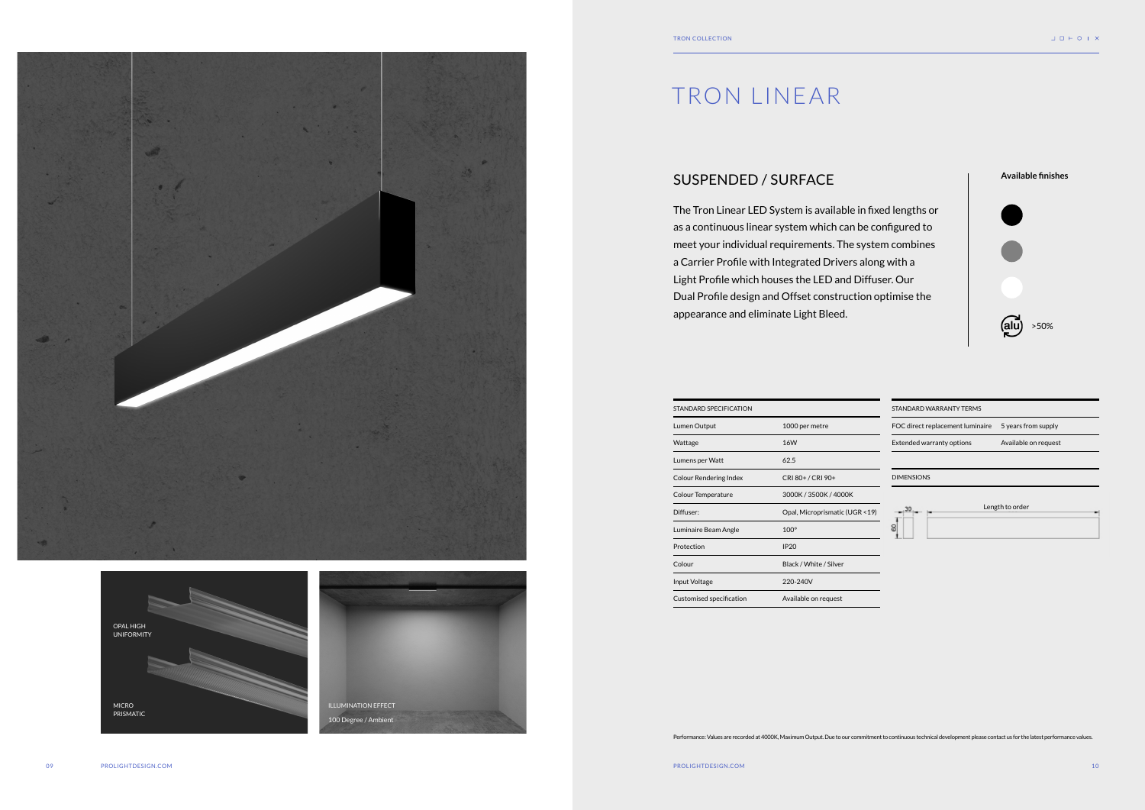### SUSPENDED / SURFACE

The Tron Linear LED System is available in fixed lengths or as a continuous linear system which can be configured to meet your individual requirements. The system combines a Carrier Profile with Integrated Drivers along with a Light Profile which houses the LED and Diffuser. Our Dual Profile design and Offset construction optimise the appearance and eliminate Light Bleed.

# TRON LINEAR







| STANDARD SPECIFICATION        |                                 | STANDARD WARRANTY TERMS                                 |  |
|-------------------------------|---------------------------------|---------------------------------------------------------|--|
| Lumen Output                  | 1000 per metre                  | FOC direct replacement luminaire<br>5 years from supply |  |
| Wattage                       | 16W                             | Extended warranty options<br>Available on request       |  |
| Lumens per Watt               | 62.5                            |                                                         |  |
| <b>Colour Rendering Index</b> | CRI 80+ / CRI 90+               | <b>DIMENSIONS</b>                                       |  |
| Colour Temperature            | 3000K / 3500K / 4000K           |                                                         |  |
| Diffuser:                     | Opal, Microprismatic (UGR < 19) | Length to order                                         |  |
| Luminaire Beam Angle          | $100^\circ$                     | 8                                                       |  |
| Protection                    | <b>IP20</b>                     |                                                         |  |
| Colour                        | Black / White / Silver          |                                                         |  |
| Input Voltage                 | 220-240V                        |                                                         |  |
| Customised specification      | Available on request            |                                                         |  |

Performance: Values are recorded at 4000K, Maximum Output. Due to our commitment to continuous technical development please contact us for the latest performance values.